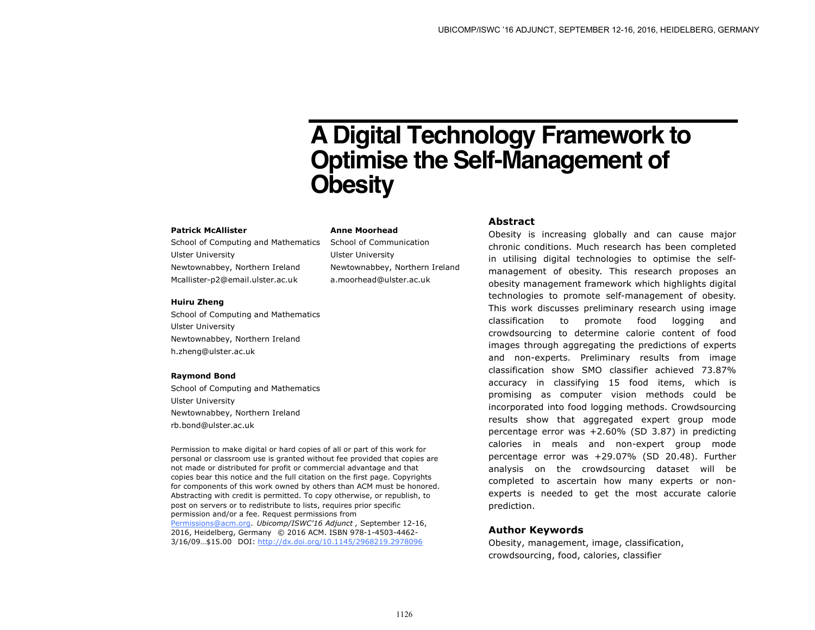# **A Digital Technology Framework to Optimise the Self-Management of Obesity**

#### **Patrick McAllister**

School of Computing and Mathematics Ulster University Newtownabbey, Northern Ireland Mcallister-p2@email.ulster.ac.uk

### **Huiru Zheng**

School of Computing and Mathematics Ulster University Newtownabbey, Northern Ireland h.zheng@ulster.ac.uk

## **Raymond Bond**

School of Computing and Mathematics Ulster University Newtownabbey, Northern Ireland rb.bond@ulster.ac.uk

Permission to make digital or hard copies of all or part of this work for personal or classroom use is granted without fee provided that copies are not made or distributed for profit or commercial advantage and that copies bear this notice and the full citation on the first page. Copyrights for components of this work owned by others than ACM must be honored. Abstracting with credit is permitted. To copy otherwise, or republish, to post on servers or to redistribute to lists, requires prior specific permission and/or a fee. Request permissions from Permissions@acm.org. *Ubicomp/ISWC'16 Adjunct ,* September 12-16, 2016, Heidelberg, Germany © 2016 ACM. ISBN 978-1-4503-4462- 3/16/09…\$15.00 DOI: http://dx.doi.org/10.1145/2968219.2978096

**Anne Moorhead** School of Communication

Ulster University

Newtownabbey, Northern Ireland a.moorhead@ulster.ac.uk

# **Abstract**

Obesity is increasing globally and can cause major chronic conditions. Much research has been completed in utilising digital technologies to optimise the selfmanagement of obesity. This research proposes an obesity management framework which highlights digital technologies to promote self-management of obesity. This work discusses preliminary research using image classification to promote food logging and crowdsourcing to determine calorie content of food images through aggregating the predictions of experts and non-experts. Preliminary results from image classification show SMO classifier achieved 73.87% accuracy in classifying 15 food items, which is promising as computer vision methods could be incorporated into food logging methods. Crowdsourcing results show that aggregated expert group mode percentage error was +2.60% (SD 3.87) in predicting calories in meals and non-expert group mode percentage error was +29.07% (SD 20.48). Further analysis on the crowdsourcing dataset will be completed to ascertain how many experts or nonexperts is needed to get the most accurate calorie prediction.

# **Author Keywords**

Obesity, management, image, classification, crowdsourcing, food, calories, classifier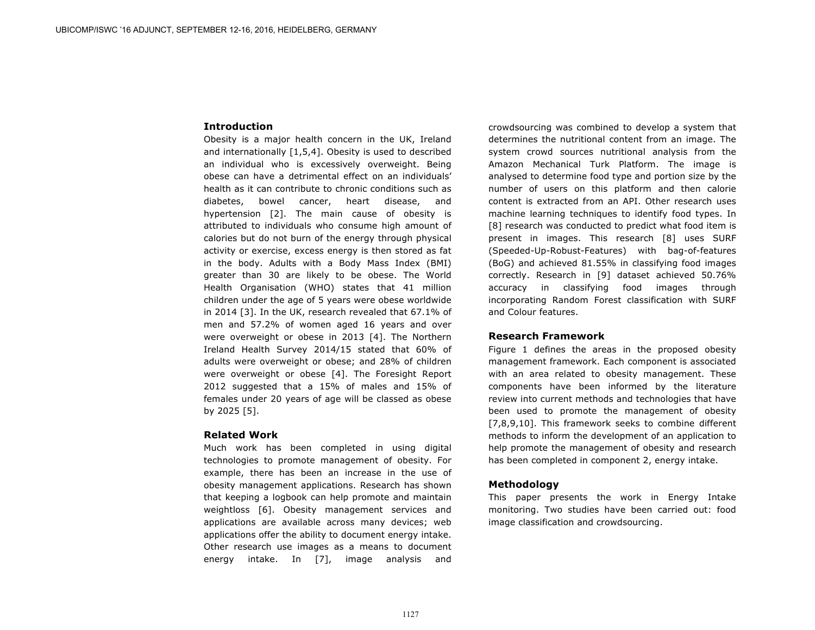## **Introduction**

Obesity is a major health concern in the UK, Ireland and internationally [1,5,4]. Obesity is used to described an individual who is excessively overweight. Being obese can have a detrimental effect on an individuals' health as it can contribute to chronic conditions such as diabetes, bowel cancer, heart disease, and hypertension [2]. The main cause of obesity is attributed to individuals who consume high amount of calories but do not burn of the energy through physical activity or exercise, excess energy is then stored as fat in the body. Adults with a Body Mass Index (BMI) greater than 30 are likely to be obese. The World Health Organisation (WHO) states that 41 million children under the age of 5 years were obese worldwide in 2014 [3]. In the UK, research revealed that 67.1% of men and 57.2% of women aged 16 years and over were overweight or obese in 2013 [4]. The Northern Ireland Health Survey 2014/15 stated that 60% of adults were overweight or obese; and 28% of children were overweight or obese [4]. The Foresight Report 2012 suggested that a 15% of males and 15% of females under 20 years of age will be classed as obese by 2025 [5].

## **Related Work**

Much work has been completed in using digital technologies to promote management of obesity. For example, there has been an increase in the use of obesity management applications. Research has shown that keeping a logbook can help promote and maintain weightloss [6]. Obesity management services and applications are available across many devices; web applications offer the ability to document energy intake. Other research use images as a means to document energy intake. In [7], image analysis and

crowdsourcing was combined to develop a system that determines the nutritional content from an image. The system crowd sources nutritional analysis from the Amazon Mechanical Turk Platform. The image is analysed to determine food type and portion size by the number of users on this platform and then calorie content is extracted from an API. Other research uses machine learning techniques to identify food types. In [8] research was conducted to predict what food item is present in images. This research [8] uses SURF (Speeded-Up-Robust-Features) with bag-of-features (BoG) and achieved 81.55% in classifying food images correctly. Research in [9] dataset achieved 50.76% accuracy in classifying food images through incorporating Random Forest classification with SURF and Colour features.

## **Research Framework**

Figure 1 defines the areas in the proposed obesity management framework. Each component is associated with an area related to obesity management. These components have been informed by the literature review into current methods and technologies that have been used to promote the management of obesity [7,8,9,10]. This framework seeks to combine different methods to inform the development of an application to help promote the management of obesity and research has been completed in component 2, energy intake.

# **Methodology**

This paper presents the work in Energy Intake monitoring. Two studies have been carried out: food image classification and crowdsourcing.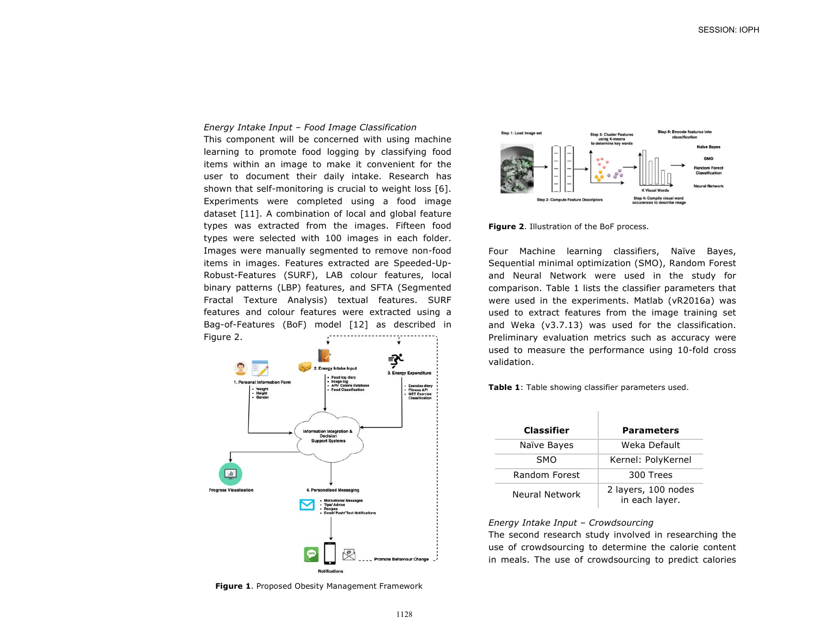#### *Energy Intake Input – Food Image Classification*

This component will be concerned with using machine learning to promote food logging by classifying food items within an image to make it convenient for the user to document their daily intake. Research has shown that self-monitoring is crucial to weight loss [6]. Experiments were completed using a food image dataset [11]. A combination of local and global feature types was extracted from the images. Fifteen food types were selected with 100 images in each folder. Images were manually segmented to remove non-food items in images. Features extracted are Speeded-Up-Robust-Features (SURF), LAB colour features, local binary patterns (LBP) features, and SFTA (Segmented Fractal Texture Analysis) textual features. SURF features and colour features were extracted using a Bag-of-Features (BoF) model [12] as described in Figure 2.



**Figure 1**. Proposed Obesity Management Framework



**Figure 2**. Illustration of the BoF process.

Four Machine learning classifiers, Naïve Bayes, Sequential minimal optimization (SMO), Random Forest and Neural Network were used in the study for comparison. Table 1 lists the classifier parameters that were used in the experiments. Matlab (vR2016a) was used to extract features from the image training set and Weka (v3.7.13) was used for the classification. Preliminary evaluation metrics such as accuracy were used to measure the performance using 10-fold cross validation.

**Table 1**: Table showing classifier parameters used.

| <b>Classifier</b> | <b>Parameters</b>                     |
|-------------------|---------------------------------------|
| Naïve Bayes       | Weka Default                          |
| <b>SMO</b>        | Kernel: PolyKernel                    |
| Random Forest     | 300 Trees                             |
| Neural Network    | 2 layers, 100 nodes<br>in each layer. |

# *Energy Intake Input – Crowdsourcing*

The second research study involved in researching the use of crowdsourcing to determine the calorie content in meals. The use of crowdsourcing to predict calories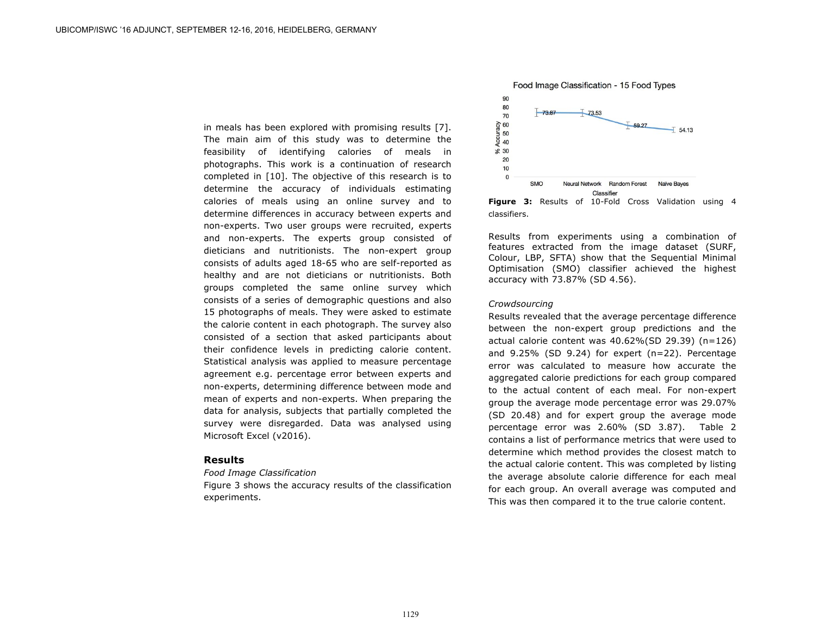in meals has been explored with promising results [7]. The main aim of this study was to determine the feasibility of identifying calories of meals in photographs. This work is a continuation of research completed in [10]. The objective of this research is to determine the accuracy of individuals estimating calories of meals using an online survey and to determine differences in accuracy between experts and non-experts. Two user groups were recruited, experts and non-experts. The experts group consisted of dieticians and nutritionists. The non-expert group consists of adults aged 18-65 who are self-reported as healthy and are not dieticians or nutritionists. Both groups completed the same online survey which consists of a series of demographic questions and also 15 photographs of meals. They were asked to estimate the calorie content in each photograph. The survey also consisted of a section that asked participants about their confidence levels in predicting calorie content. Statistical analysis was applied to measure percentage agreement e.g. percentage error between experts and non-experts, determining difference between mode and mean of experts and non-experts. When preparing the data for analysis, subjects that partially completed the survey were disregarded. Data was analysed using Microsoft Excel (v2016).

## **Results**

### *Food Image Classification*

Figure 3 shows the accuracy results of the classification experiments.





Results from experiments using a combination of features extracted from the image dataset (SURF, Colour, LBP, SFTA) show that the Sequential Minimal Optimisation (SMO) classifier achieved the highest accuracy with 73.87% (SD 4.56).

## *Crowdsourcing*

Results revealed that the average percentage difference between the non-expert group predictions and the actual calorie content was 40.62%(SD 29.39) (n=126) and 9.25% (SD 9.24) for expert (n=22). Percentage error was calculated to measure how accurate the aggregated calorie predictions for each group compared to the actual content of each meal. For non-expert group the average mode percentage error was 29.07% (SD 20.48) and for expert group the average mode percentage error was 2.60% (SD 3.87). Table 2 contains a list of performance metrics that were used to determine which method provides the closest match to the actual calorie content. This was completed by listing the average absolute calorie difference for each meal for each group. An overall average was computed and This was then compared it to the true calorie content.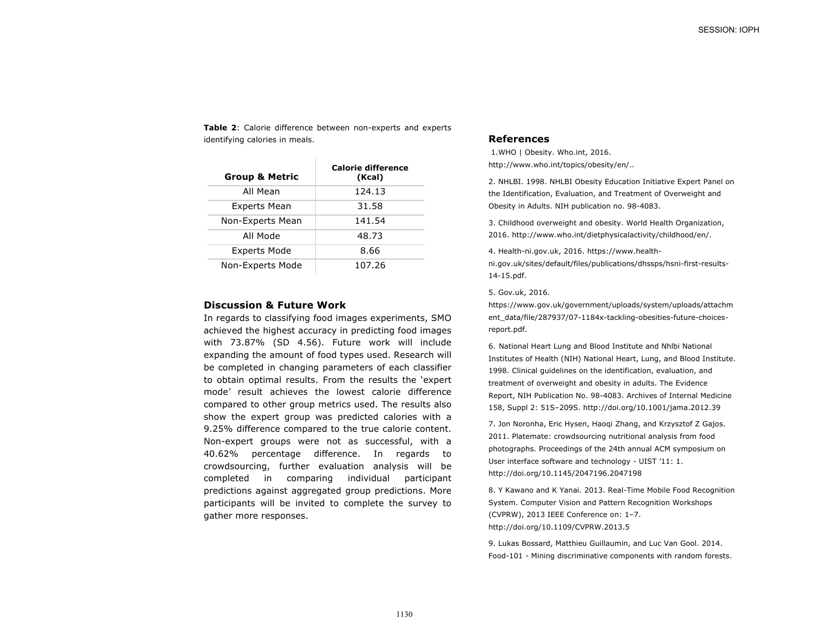**Table 2**: Calorie difference between non-experts and experts identifying calories in meals.

| <b>Group &amp; Metric</b> | <b>Calorie difference</b><br>(Kcal) |
|---------------------------|-------------------------------------|
| All Mean                  | 124.13                              |
| <b>Experts Mean</b>       | 31.58                               |
| Non-Experts Mean          | 141.54                              |
| All Mode                  | 48.73                               |
| <b>Experts Mode</b>       | 8.66                                |
| Non-Experts Mode          | 107.26                              |

## **Discussion & Future Work**

In regards to classifying food images experiments, SMO achieved the highest accuracy in predicting food images with 73.87% (SD 4.56). Future work will include expanding the amount of food types used. Research will be completed in changing parameters of each classifier to obtain optimal results. From the results the 'expert mode' result achieves the lowest calorie difference compared to other group metrics used. The results also show the expert group was predicted calories with a 9.25% difference compared to the true calorie content. Non-expert groups were not as successful, with a 40.62% percentage difference. In regards to crowdsourcing, further evaluation analysis will be completed in comparing individual participant predictions against aggregated group predictions. More participants will be invited to complete the survey to gather more responses.

# **References**

1.WHO | Obesity. Who.int, 2016. http://www.who.int/topics/obesity/en/..

2. NHLBI. 1998. NHLBI Obesity Education Initiative Expert Panel on the Identification, Evaluation, and Treatment of Overweight and Obesity in Adults. NIH publication no. 98-4083.

3. Childhood overweight and obesity. World Health Organization, 2016. http://www.who.int/dietphysicalactivity/childhood/en/.

4. Health-ni.gov.uk, 2016. https://www.health-

ni.gov.uk/sites/default/files/publications/dhssps/hsni-first-results-14-15.pdf.

### 5. Gov.uk, 2016.

https://www.gov.uk/government/uploads/system/uploads/attachm ent\_data/file/287937/07-1184x-tackling-obesities-future-choicesreport.pdf.

6. National Heart Lung and Blood Institute and Nhlbi National Institutes of Health (NIH) National Heart, Lung, and Blood Institute. 1998. Clinical guidelines on the identification, evaluation, and treatment of overweight and obesity in adults. The Evidence Report, NIH Publication No. 98-4083. Archives of Internal Medicine 158, Suppl 2: 51S–209S. http://doi.org/10.1001/jama.2012.39

7. Jon Noronha, Eric Hysen, Haoqi Zhang, and Krzysztof Z Gajos. 2011. Platemate: crowdsourcing nutritional analysis from food photographs. Proceedings of the 24th annual ACM symposium on User interface software and technology - UIST '11: 1. http://doi.org/10.1145/2047196.2047198

8. Y Kawano and K Yanai. 2013. Real-Time Mobile Food Recognition System. Computer Vision and Pattern Recognition Workshops (CVPRW), 2013 IEEE Conference on: 1–7. http://doi.org/10.1109/CVPRW.2013.5

9. Lukas Bossard, Matthieu Guillaumin, and Luc Van Gool. 2014. Food-101 - Mining discriminative components with random forests.